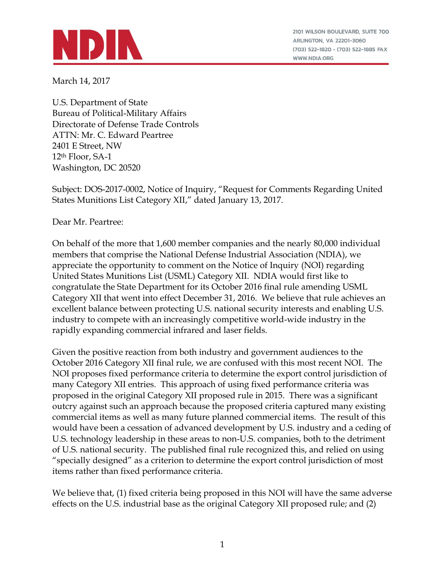

2101 WILSON BOULEVARD, SUITE 700 ARLINGTON, VA 22201-3060 (703) 522-1820 · (703) 522-1885 FAX WWW.NDIA.ORG

March 14, 2017

U.S. Department of State Bureau of Political-Military Affairs Directorate of Defense Trade Controls ATTN: Mr. C. Edward Peartree 2401 E Street, NW 12th Floor, SA-1 Washington, DC 20520

Subject: DOS-2017-0002, Notice of Inquiry, "Request for Comments Regarding United States Munitions List Category XII," dated January 13, 2017.

Dear Mr. Peartree:

On behalf of the more that 1,600 member companies and the nearly 80,000 individual members that comprise the National Defense Industrial Association (NDIA), we appreciate the opportunity to comment on the Notice of Inquiry (NOI) regarding United States Munitions List (USML) Category XII. NDIA would first like to congratulate the State Department for its October 2016 final rule amending USML Category XII that went into effect December 31, 2016. We believe that rule achieves an excellent balance between protecting U.S. national security interests and enabling U.S. industry to compete with an increasingly competitive world-wide industry in the rapidly expanding commercial infrared and laser fields.

Given the positive reaction from both industry and government audiences to the October 2016 Category XII final rule, we are confused with this most recent NOI. The NOI proposes fixed performance criteria to determine the export control jurisdiction of many Category XII entries. This approach of using fixed performance criteria was proposed in the original Category XII proposed rule in 2015. There was a significant outcry against such an approach because the proposed criteria captured many existing commercial items as well as many future planned commercial items. The result of this would have been a cessation of advanced development by U.S. industry and a ceding of U.S. technology leadership in these areas to non-U.S. companies, both to the detriment of U.S. national security. The published final rule recognized this, and relied on using "specially designed" as a criterion to determine the export control jurisdiction of most items rather than fixed performance criteria.

We believe that, (1) fixed criteria being proposed in this NOI will have the same adverse effects on the U.S. industrial base as the original Category XII proposed rule; and (2)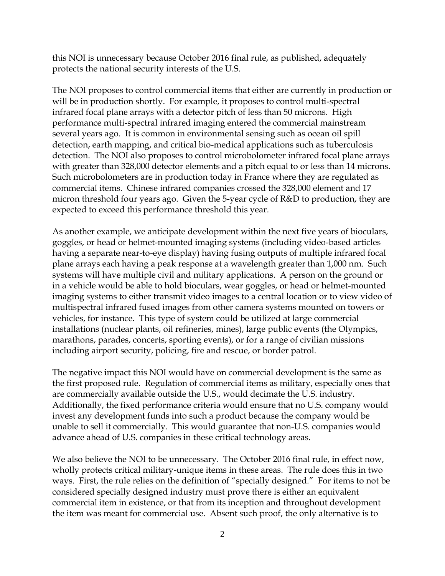this NOI is unnecessary because October 2016 final rule, as published, adequately protects the national security interests of the U.S.

The NOI proposes to control commercial items that either are currently in production or will be in production shortly. For example, it proposes to control multi-spectral infrared focal plane arrays with a detector pitch of less than 50 microns. High performance multi-spectral infrared imaging entered the commercial mainstream several years ago. It is common in environmental sensing such as ocean oil spill detection, earth mapping, and critical bio-medical applications such as tuberculosis detection. The NOI also proposes to control microbolometer infrared focal plane arrays with greater than 328,000 detector elements and a pitch equal to or less than 14 microns. Such microbolometers are in production today in France where they are regulated as commercial items. Chinese infrared companies crossed the 328,000 element and 17 micron threshold four years ago. Given the 5-year cycle of R&D to production, they are expected to exceed this performance threshold this year.

As another example, we anticipate development within the next five years of bioculars, goggles, or head or helmet-mounted imaging systems (including video-based articles having a separate near-to-eye display) having fusing outputs of multiple infrared focal plane arrays each having a peak response at a wavelength greater than 1,000 nm. Such systems will have multiple civil and military applications. A person on the ground or in a vehicle would be able to hold bioculars, wear goggles, or head or helmet-mounted imaging systems to either transmit video images to a central location or to view video of multispectral infrared fused images from other camera systems mounted on towers or vehicles, for instance. This type of system could be utilized at large commercial installations (nuclear plants, oil refineries, mines), large public events (the Olympics, marathons, parades, concerts, sporting events), or for a range of civilian missions including airport security, policing, fire and rescue, or border patrol.

The negative impact this NOI would have on commercial development is the same as the first proposed rule. Regulation of commercial items as military, especially ones that are commercially available outside the U.S., would decimate the U.S. industry. Additionally, the fixed performance criteria would ensure that no U.S. company would invest any development funds into such a product because the company would be unable to sell it commercially. This would guarantee that non-U.S. companies would advance ahead of U.S. companies in these critical technology areas.

We also believe the NOI to be unnecessary. The October 2016 final rule, in effect now, wholly protects critical military-unique items in these areas. The rule does this in two ways. First, the rule relies on the definition of "specially designed." For items to not be considered specially designed industry must prove there is either an equivalent commercial item in existence, or that from its inception and throughout development the item was meant for commercial use. Absent such proof, the only alternative is to